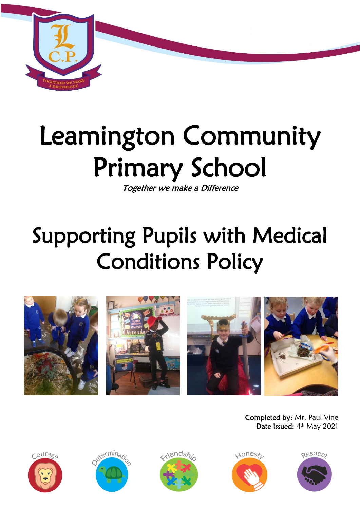

# Leamington Community Primary School

Together we make a Difference

# Supporting Pupils with Medical Conditions Policy



Completed by: Mr. Paul Vine Date Issued: 4<sup>th</sup> May 2021









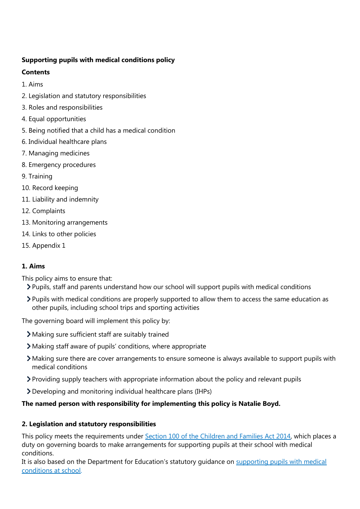# **Supporting pupils with medical conditions policy**

#### **Contents**

- 1. Aims
- 2. Legislation and statutory responsibilities
- 3. Roles and responsibilities
- 4. Equal opportunities
- 5. Being notified that a child has a medical condition
- 6. Individual healthcare plans
- 7. Managing medicines
- 8. Emergency procedures
- 9. Training
- 10. Record keeping
- 11. Liability and indemnity
- 12. Complaints
- 13. Monitoring arrangements
- 14. Links to other policies
- 15. Appendix 1

# **1. Aims**

This policy aims to ensure that:

- Pupils, staff and parents understand how our school will support pupils with medical conditions
- Pupils with medical conditions are properly supported to allow them to access the same education as other pupils, including school trips and sporting activities

The governing board will implement this policy by:

- Making sure sufficient staff are suitably trained
- Making staff aware of pupils' conditions, where appropriate
- Making sure there are cover arrangements to ensure someone is always available to support pupils with medical conditions
- Providing supply teachers with appropriate information about the policy and relevant pupils
- Developing and monitoring individual healthcare plans (IHPs)

# **The named person with responsibility for implementing this policy is Natalie Boyd.**

# **2. Legislation and statutory responsibilities**

This policy meets the requirements under [Section 100 of the Children and Families Act 2014,](http://www.legislation.gov.uk/ukpga/2014/6/part/5/crossheading/pupils-with-medical-conditions) which places a duty on governing boards to make arrangements for supporting pupils at their school with medical conditions.

It is also based on the Department for Education's statutory guidance on [supporting pupils with medical](https://www.gov.uk/government/publications/supporting-pupils-at-school-with-medical-conditions--3)  [conditions at school.](https://www.gov.uk/government/publications/supporting-pupils-at-school-with-medical-conditions--3)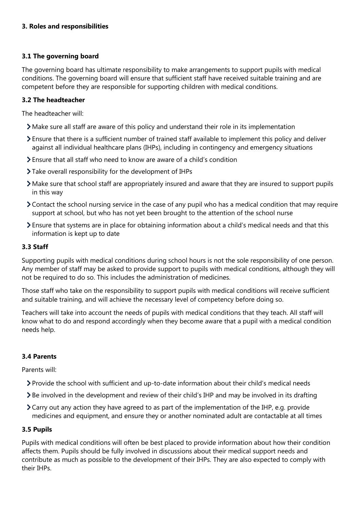#### **3. Roles and responsibilities**

#### **3.1 The governing board**

The governing board has ultimate responsibility to make arrangements to support pupils with medical conditions. The governing board will ensure that sufficient staff have received suitable training and are competent before they are responsible for supporting children with medical conditions.

#### **3.2 The headteacher**

The headteacher will:

- Make sure all staff are aware of this policy and understand their role in its implementation
- Ensure that there is a sufficient number of trained staff available to implement this policy and deliver against all individual healthcare plans (IHPs), including in contingency and emergency situations
- $\sum$  Ensure that all staff who need to know are aware of a child's condition
- Take overall responsibility for the development of IHPs
- Make sure that school staff are appropriately insured and aware that they are insured to support pupils in this way
- Contact the school nursing service in the case of any pupil who has a medical condition that may require support at school, but who has not yet been brought to the attention of the school nurse
- Ensure that systems are in place for obtaining information about a child's medical needs and that this information is kept up to date

#### **3.3 Staff**

Supporting pupils with medical conditions during school hours is not the sole responsibility of one person. Any member of staff may be asked to provide support to pupils with medical conditions, although they will not be required to do so. This includes the administration of medicines.

Those staff who take on the responsibility to support pupils with medical conditions will receive sufficient and suitable training, and will achieve the necessary level of competency before doing so.

Teachers will take into account the needs of pupils with medical conditions that they teach. All staff will know what to do and respond accordingly when they become aware that a pupil with a medical condition needs help.

#### **3.4 Parents**

Parents will:

- Provide the school with sufficient and up-to-date information about their child's medical needs
- Be involved in the development and review of their child's IHP and may be involved in its drafting
- Carry out any action they have agreed to as part of the implementation of the IHP, e.g. provide medicines and equipment, and ensure they or another nominated adult are contactable at all times

#### **3.5 Pupils**

Pupils with medical conditions will often be best placed to provide information about how their condition affects them. Pupils should be fully involved in discussions about their medical support needs and contribute as much as possible to the development of their IHPs. They are also expected to comply with their IHPs.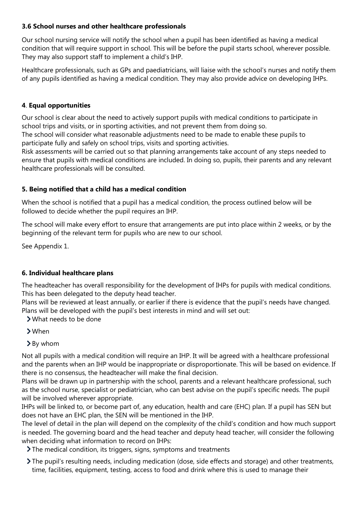#### **3.6 School nurses and other healthcare professionals**

Our school nursing service will notify the school when a pupil has been identified as having a medical condition that will require support in school. This will be before the pupil starts school, wherever possible. They may also support staff to implement a child's IHP.

Healthcare professionals, such as GPs and paediatricians, will liaise with the school's nurses and notify them of any pupils identified as having a medical condition. They may also provide advice on developing IHPs.

#### **4**. **Equal opportunities**

Our school is clear about the need to actively support pupils with medical conditions to participate in school trips and visits, or in sporting activities, and not prevent them from doing so.

The school will consider what reasonable adjustments need to be made to enable these pupils to participate fully and safely on school trips, visits and sporting activities.

Risk assessments will be carried out so that planning arrangements take account of any steps needed to ensure that pupils with medical conditions are included. In doing so, pupils, their parents and any relevant healthcare professionals will be consulted.

#### **5. Being notified that a child has a medical condition**

When the school is notified that a pupil has a medical condition, the process outlined below will be followed to decide whether the pupil requires an IHP.

The school will make every effort to ensure that arrangements are put into place within 2 weeks, or by the beginning of the relevant term for pupils who are new to our school.

See Appendix 1.

#### **6. Individual healthcare plans**

The headteacher has overall responsibility for the development of IHPs for pupils with medical conditions. This has been delegated to the deputy head teacher.

Plans will be reviewed at least annually, or earlier if there is evidence that the pupil's needs have changed. Plans will be developed with the pupil's best interests in mind and will set out:

- What needs to be done
- When
- > By whom

Not all pupils with a medical condition will require an IHP. It will be agreed with a healthcare professional and the parents when an IHP would be inappropriate or disproportionate. This will be based on evidence. If there is no consensus, the headteacher will make the final decision.

Plans will be drawn up in partnership with the school, parents and a relevant healthcare professional, such as the school nurse, specialist or pediatrician, who can best advise on the pupil's specific needs. The pupil will be involved wherever appropriate.

IHPs will be linked to, or become part of, any education, health and care (EHC) plan. If a pupil has SEN but does not have an EHC plan, the SEN will be mentioned in the IHP.

The level of detail in the plan will depend on the complexity of the child's condition and how much support is needed. The governing board and the head teacher and deputy head teacher, will consider the following when deciding what information to record on IHPs:

- The medical condition, its triggers, signs, symptoms and treatments
- The pupil's resulting needs, including medication (dose, side effects and storage) and other treatments, time, facilities, equipment, testing, access to food and drink where this is used to manage their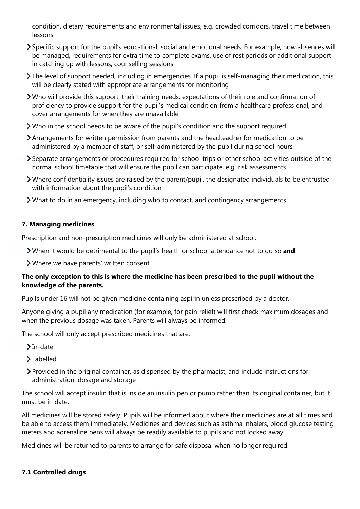condition, dietary requirements and environmental issues, e.g. crowded corridors, travel time between lessons

- Specific support for the pupil's educational, social and emotional needs. For example, how absences will be managed, requirements for extra time to complete exams, use of rest periods or additional support in catching up with lessons, counselling sessions
- The level of support needed, including in emergencies. If a pupil is self-managing their medication, this will be clearly stated with appropriate arrangements for monitoring
- Who will provide this support, their training needs, expectations of their role and confirmation of proficiency to provide support for the pupil's medical condition from a healthcare professional, and cover arrangements for when they are unavailable
- Who in the school needs to be aware of the pupil's condition and the support required
- Arrangements for written permission from parents and the headteacher for medication to be administered by a member of staff, or self-administered by the pupil during school hours
- Separate arrangements or procedures required for school trips or other school activities outside of the normal school timetable that will ensure the pupil can participate, e.g. risk assessments
- Where confidentiality issues are raised by the parent/pupil, the designated individuals to be entrusted with information about the pupil's condition
- What to do in an emergency, including who to contact, and contingency arrangements

#### **7. Managing medicines**

Prescription and non-prescription medicines will only be administered at school:

- When it would be detrimental to the pupil's health or school attendance not to do so **and**
- Where we have parents' written consent

#### **The only exception to this is where the medicine has been prescribed to the pupil without the knowledge of the parents.**

Pupils under 16 will not be given medicine containing aspirin unless prescribed by a doctor.

Anyone giving a pupil any medication (for example, for pain relief) will first check maximum dosages and when the previous dosage was taken. Parents will always be informed.

The school will only accept prescribed medicines that are:

- $\sum$  In-date
- Labelled
- Provided in the original container, as dispensed by the pharmacist, and include instructions for administration, dosage and storage

The school will accept insulin that is inside an insulin pen or pump rather than its original container, but it must be in date.

All medicines will be stored safely. Pupils will be informed about where their medicines are at all times and be able to access them immediately. Medicines and devices such as asthma inhalers, blood glucose testing meters and adrenaline pens will always be readily available to pupils and not locked away.

Medicines will be returned to parents to arrange for safe disposal when no longer required.

## **7.1 Controlled drugs**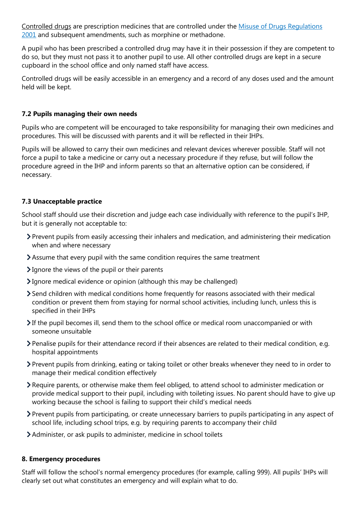[Controlled drugs](http://www.nhs.uk/chq/Pages/1391.aspx?CategoryID=73) are prescription medicines that are controlled under the [Misuse of Drugs Regulations](http://www.legislation.gov.uk/uksi/2001/3998/schedule/1/made)  [2001](http://www.legislation.gov.uk/uksi/2001/3998/schedule/1/made) and subsequent amendments, such as morphine or methadone.

A pupil who has been prescribed a controlled drug may have it in their possession if they are competent to do so, but they must not pass it to another pupil to use. All other controlled drugs are kept in a secure cupboard in the school office and only named staff have access.

Controlled drugs will be easily accessible in an emergency and a record of any doses used and the amount held will be kept.

#### **7.2 Pupils managing their own needs**

Pupils who are competent will be encouraged to take responsibility for managing their own medicines and procedures. This will be discussed with parents and it will be reflected in their IHPs.

Pupils will be allowed to carry their own medicines and relevant devices wherever possible. Staff will not force a pupil to take a medicine or carry out a necessary procedure if they refuse, but will follow the procedure agreed in the IHP and inform parents so that an alternative option can be considered, if necessary.

## **7.3 Unacceptable practice**

School staff should use their discretion and judge each case individually with reference to the pupil's IHP, but it is generally not acceptable to:

- Prevent pupils from easily accessing their inhalers and medication, and administering their medication when and where necessary
- Assume that every pupil with the same condition requires the same treatment
- $\sum$  Ignore the views of the pupil or their parents
- Ignore medical evidence or opinion (although this may be challenged)
- Send children with medical conditions home frequently for reasons associated with their medical condition or prevent them from staying for normal school activities, including lunch, unless this is specified in their IHPs
- If the pupil becomes ill, send them to the school office or medical room unaccompanied or with someone unsuitable
- Penalise pupils for their attendance record if their absences are related to their medical condition, e.g. hospital appointments
- Prevent pupils from drinking, eating or taking toilet or other breaks whenever they need to in order to manage their medical condition effectively
- Require parents, or otherwise make them feel obliged, to attend school to administer medication or provide medical support to their pupil, including with toileting issues. No parent should have to give up working because the school is failing to support their child's medical needs
- Prevent pupils from participating, or create unnecessary barriers to pupils participating in any aspect of school life, including school trips, e.g. by requiring parents to accompany their child
- Administer, or ask pupils to administer, medicine in school toilets

#### **8. Emergency procedures**

Staff will follow the school's normal emergency procedures (for example, calling 999). All pupils' IHPs will clearly set out what constitutes an emergency and will explain what to do.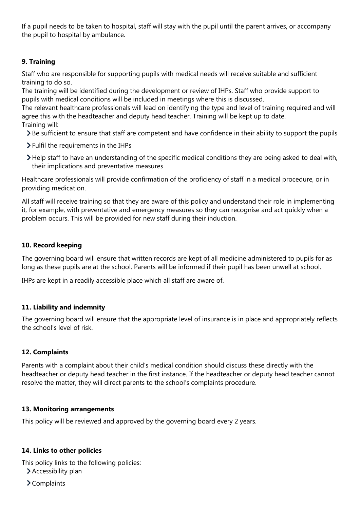If a pupil needs to be taken to hospital, staff will stay with the pupil until the parent arrives, or accompany the pupil to hospital by ambulance.

# **9. Training**

Staff who are responsible for supporting pupils with medical needs will receive suitable and sufficient training to do so.

The training will be identified during the development or review of IHPs. Staff who provide support to pupils with medical conditions will be included in meetings where this is discussed.

The relevant healthcare professionals will lead on identifying the type and level of training required and will agree this with the headteacher and deputy head teacher. Training will be kept up to date.

Training will:

- Be sufficient to ensure that staff are competent and have confidence in their ability to support the pupils
- Fulfil the requirements in the IHPs
- Help staff to have an understanding of the specific medical conditions they are being asked to deal with, their implications and preventative measures

Healthcare professionals will provide confirmation of the proficiency of staff in a medical procedure, or in providing medication.

All staff will receive training so that they are aware of this policy and understand their role in implementing it, for example, with preventative and emergency measures so they can recognise and act quickly when a problem occurs. This will be provided for new staff during their induction.

#### **10. Record keeping**

The governing board will ensure that written records are kept of all medicine administered to pupils for as long as these pupils are at the school. Parents will be informed if their pupil has been unwell at school.

IHPs are kept in a readily accessible place which all staff are aware of.

#### **11. Liability and indemnity**

The governing board will ensure that the appropriate level of insurance is in place and appropriately reflects the school's level of risk.

#### **12. Complaints**

Parents with a complaint about their child's medical condition should discuss these directly with the headteacher or deputy head teacher in the first instance. If the headteacher or deputy head teacher cannot resolve the matter, they will direct parents to the school's complaints procedure.

#### **13. Monitoring arrangements**

This policy will be reviewed and approved by the governing board every 2 years.

#### **14. Links to other policies**

This policy links to the following policies:

> Accessibility plan

Complaints